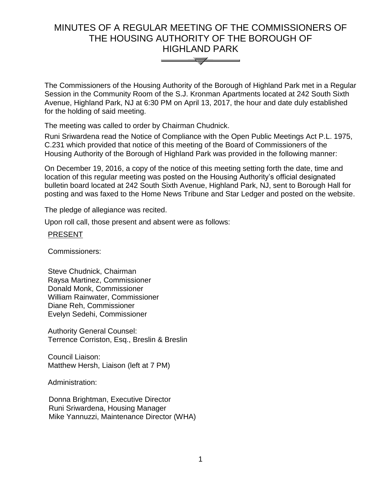# MINUTES OF A REGULAR MEETING OF THE COMMISSIONERS OF THE HOUSING AUTHORITY OF THE BOROUGH OF HIGHLAND PARK



The Commissioners of the Housing Authority of the Borough of Highland Park met in a Regular Session in the Community Room of the S.J. Kronman Apartments located at 242 South Sixth Avenue, Highland Park, NJ at 6:30 PM on April 13, 2017, the hour and date duly established for the holding of said meeting.

The meeting was called to order by Chairman Chudnick.

Runi Sriwardena read the Notice of Compliance with the Open Public Meetings Act P.L. 1975, C.231 which provided that notice of this meeting of the Board of Commissioners of the Housing Authority of the Borough of Highland Park was provided in the following manner:

On December 19, 2016, a copy of the notice of this meeting setting forth the date, time and location of this regular meeting was posted on the Housing Authority's official designated bulletin board located at 242 South Sixth Avenue, Highland Park, NJ, sent to Borough Hall for posting and was faxed to the Home News Tribune and Star Ledger and posted on the website.

The pledge of allegiance was recited.

Upon roll call, those present and absent were as follows:

## **PRESENT**

Commissioners:

Steve Chudnick, Chairman Raysa Martinez, Commissioner Donald Monk, Commissioner William Rainwater, Commissioner Diane Reh, Commissioner Evelyn Sedehi, Commissioner

Authority General Counsel: Terrence Corriston, Esq., Breslin & Breslin

Council Liaison: Matthew Hersh, Liaison (left at 7 PM)

Administration:

 Donna Brightman, Executive Director Runi Sriwardena, Housing Manager Mike Yannuzzi, Maintenance Director (WHA)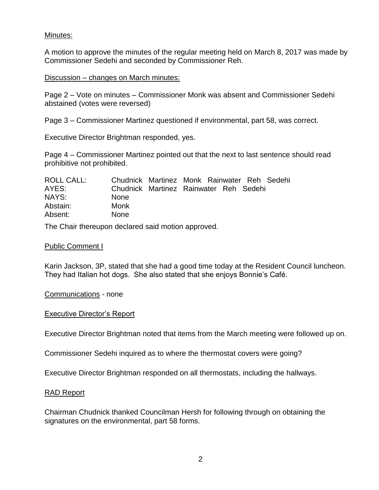# Minutes:

A motion to approve the minutes of the regular meeting held on March 8, 2017 was made by Commissioner Sedehi and seconded by Commissioner Reh.

#### Discussion – changes on March minutes:

Page 2 – Vote on minutes – Commissioner Monk was absent and Commissioner Sedehi abstained (votes were reversed)

Page 3 – Commissioner Martinez questioned if environmental, part 58, was correct.

Executive Director Brightman responded, yes.

Page 4 – Commissioner Martinez pointed out that the next to last sentence should read prohibitive not prohibited.

| ROLL CALL: | Chudnick Martinez Monk Rainwater Reh Sedehi |  |  |  |
|------------|---------------------------------------------|--|--|--|
| AYES:      | Chudnick Martinez Rainwater Reh Sedehi      |  |  |  |
| NAYS:      | <b>None</b>                                 |  |  |  |
| Abstain:   | Monk                                        |  |  |  |
| Absent:    | <b>None</b>                                 |  |  |  |

The Chair thereupon declared said motion approved.

#### Public Comment I

Karin Jackson, 3P, stated that she had a good time today at the Resident Council luncheon. They had Italian hot dogs. She also stated that she enjoys Bonnie's Café.

Communications - none

#### Executive Director's Report

Executive Director Brightman noted that items from the March meeting were followed up on.

Commissioner Sedehi inquired as to where the thermostat covers were going?

Executive Director Brightman responded on all thermostats, including the hallways.

#### RAD Report

Chairman Chudnick thanked Councilman Hersh for following through on obtaining the signatures on the environmental, part 58 forms.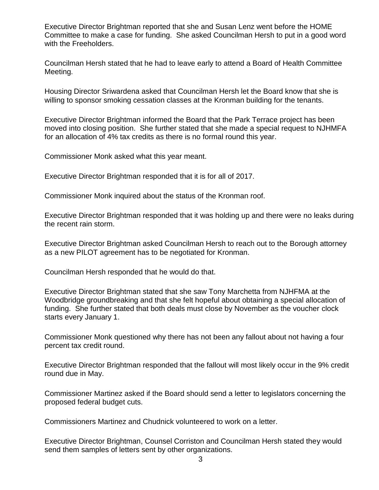Executive Director Brightman reported that she and Susan Lenz went before the HOME Committee to make a case for funding. She asked Councilman Hersh to put in a good word with the Freeholders.

Councilman Hersh stated that he had to leave early to attend a Board of Health Committee Meeting.

Housing Director Sriwardena asked that Councilman Hersh let the Board know that she is willing to sponsor smoking cessation classes at the Kronman building for the tenants.

Executive Director Brightman informed the Board that the Park Terrace project has been moved into closing position. She further stated that she made a special request to NJHMFA for an allocation of 4% tax credits as there is no formal round this year.

Commissioner Monk asked what this year meant.

Executive Director Brightman responded that it is for all of 2017.

Commissioner Monk inquired about the status of the Kronman roof.

Executive Director Brightman responded that it was holding up and there were no leaks during the recent rain storm.

Executive Director Brightman asked Councilman Hersh to reach out to the Borough attorney as a new PILOT agreement has to be negotiated for Kronman.

Councilman Hersh responded that he would do that.

Executive Director Brightman stated that she saw Tony Marchetta from NJHFMA at the Woodbridge groundbreaking and that she felt hopeful about obtaining a special allocation of funding. She further stated that both deals must close by November as the voucher clock starts every January 1.

Commissioner Monk questioned why there has not been any fallout about not having a four percent tax credit round.

Executive Director Brightman responded that the fallout will most likely occur in the 9% credit round due in May.

Commissioner Martinez asked if the Board should send a letter to legislators concerning the proposed federal budget cuts.

Commissioners Martinez and Chudnick volunteered to work on a letter.

Executive Director Brightman, Counsel Corriston and Councilman Hersh stated they would send them samples of letters sent by other organizations.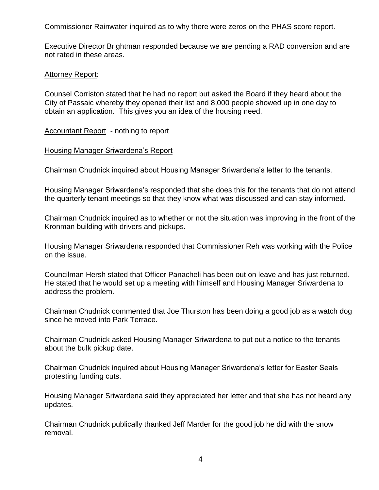Commissioner Rainwater inquired as to why there were zeros on the PHAS score report.

Executive Director Brightman responded because we are pending a RAD conversion and are not rated in these areas.

## Attorney Report:

Counsel Corriston stated that he had no report but asked the Board if they heard about the City of Passaic whereby they opened their list and 8,000 people showed up in one day to obtain an application. This gives you an idea of the housing need.

Accountant Report - nothing to report

## Housing Manager Sriwardena's Report

Chairman Chudnick inquired about Housing Manager Sriwardena's letter to the tenants.

Housing Manager Sriwardena's responded that she does this for the tenants that do not attend the quarterly tenant meetings so that they know what was discussed and can stay informed.

Chairman Chudnick inquired as to whether or not the situation was improving in the front of the Kronman building with drivers and pickups.

Housing Manager Sriwardena responded that Commissioner Reh was working with the Police on the issue.

Councilman Hersh stated that Officer Panacheli has been out on leave and has just returned. He stated that he would set up a meeting with himself and Housing Manager Sriwardena to address the problem.

Chairman Chudnick commented that Joe Thurston has been doing a good job as a watch dog since he moved into Park Terrace.

Chairman Chudnick asked Housing Manager Sriwardena to put out a notice to the tenants about the bulk pickup date.

Chairman Chudnick inquired about Housing Manager Sriwardena's letter for Easter Seals protesting funding cuts.

Housing Manager Sriwardena said they appreciated her letter and that she has not heard any updates.

Chairman Chudnick publically thanked Jeff Marder for the good job he did with the snow removal.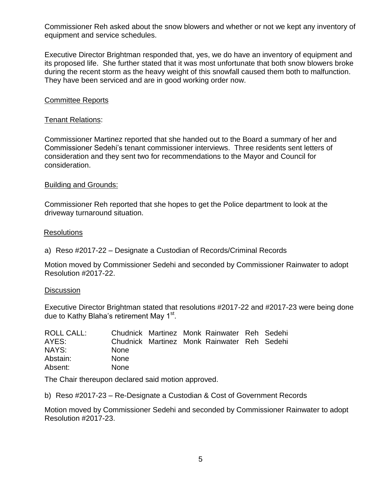Commissioner Reh asked about the snow blowers and whether or not we kept any inventory of equipment and service schedules.

Executive Director Brightman responded that, yes, we do have an inventory of equipment and its proposed life. She further stated that it was most unfortunate that both snow blowers broke during the recent storm as the heavy weight of this snowfall caused them both to malfunction. They have been serviced and are in good working order now.

## Committee Reports

## Tenant Relations:

Commissioner Martinez reported that she handed out to the Board a summary of her and Commissioner Sedehi's tenant commissioner interviews. Three residents sent letters of consideration and they sent two for recommendations to the Mayor and Council for consideration.

#### Building and Grounds:

Commissioner Reh reported that she hopes to get the Police department to look at the driveway turnaround situation.

## **Resolutions**

a) Reso #2017-22 – Designate a Custodian of Records/Criminal Records

Motion moved by Commissioner Sedehi and seconded by Commissioner Rainwater to adopt Resolution #2017-22.

#### **Discussion**

Executive Director Brightman stated that resolutions #2017-22 and #2017-23 were being done due to Kathy Blaha's retirement May 1<sup>st</sup>.

| ROLL CALL: |             |  | Chudnick Martinez Monk Rainwater Reh Sedehi |  |
|------------|-------------|--|---------------------------------------------|--|
| AYES:      |             |  | Chudnick Martinez Monk Rainwater Reh Sedehi |  |
| NAYS:      | <b>None</b> |  |                                             |  |
| Abstain:   | <b>None</b> |  |                                             |  |
| Absent:    | <b>None</b> |  |                                             |  |

The Chair thereupon declared said motion approved.

b) Reso #2017-23 – Re-Designate a Custodian & Cost of Government Records

Motion moved by Commissioner Sedehi and seconded by Commissioner Rainwater to adopt Resolution #2017-23.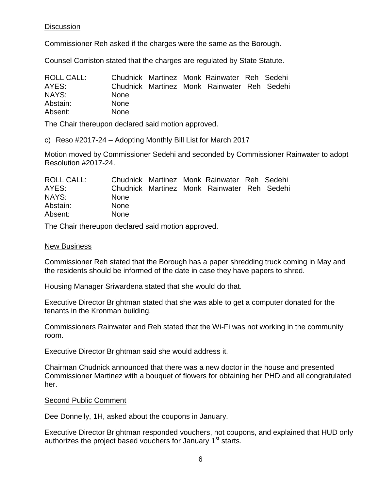# **Discussion**

Commissioner Reh asked if the charges were the same as the Borough.

Counsel Corriston stated that the charges are regulated by State Statute.

| ROLL CALL: |             |  | Chudnick Martinez Monk Rainwater Reh Sedehi |  |
|------------|-------------|--|---------------------------------------------|--|
| AYES:      |             |  | Chudnick Martinez Monk Rainwater Reh Sedehi |  |
| NAYS:      | <b>None</b> |  |                                             |  |
| Abstain:   | <b>None</b> |  |                                             |  |
| Absent:    | <b>None</b> |  |                                             |  |

The Chair thereupon declared said motion approved.

c) Reso #2017-24 – Adopting Monthly Bill List for March 2017

Motion moved by Commissioner Sedehi and seconded by Commissioner Rainwater to adopt Resolution #2017-24.

| ROLL CALL: |             |  | Chudnick Martinez Monk Rainwater Reh Sedehi |  |
|------------|-------------|--|---------------------------------------------|--|
| AYES:      |             |  | Chudnick Martinez Monk Rainwater Reh Sedehi |  |
| NAYS:      | <b>None</b> |  |                                             |  |
| Abstain:   | <b>None</b> |  |                                             |  |
| Absent:    | <b>None</b> |  |                                             |  |

The Chair thereupon declared said motion approved.

## New Business

Commissioner Reh stated that the Borough has a paper shredding truck coming in May and the residents should be informed of the date in case they have papers to shred.

Housing Manager Sriwardena stated that she would do that.

Executive Director Brightman stated that she was able to get a computer donated for the tenants in the Kronman building.

Commissioners Rainwater and Reh stated that the Wi-Fi was not working in the community room.

Executive Director Brightman said she would address it.

Chairman Chudnick announced that there was a new doctor in the house and presented Commissioner Martinez with a bouquet of flowers for obtaining her PHD and all congratulated her.

# Second Public Comment

Dee Donnelly, 1H, asked about the coupons in January.

Executive Director Brightman responded vouchers, not coupons, and explained that HUD only authorizes the project based vouchers for January 1<sup>st</sup> starts.